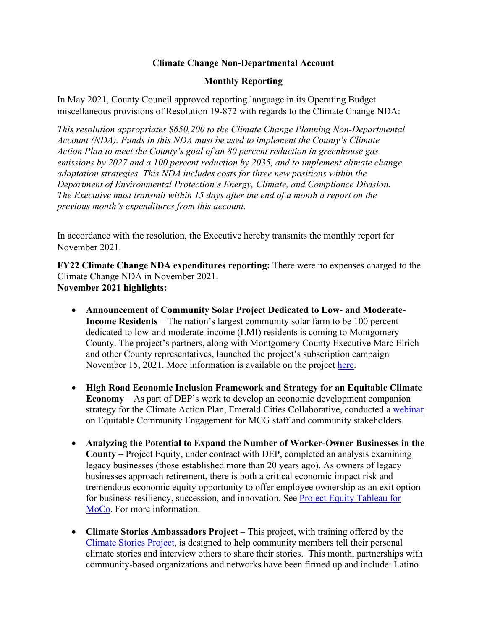## **Climate Change Non-Departmental Account**

## **Monthly Reporting**

In May 2021, County Council approved reporting language in its Operating Budget miscellaneous provisions of Resolution 19-872 with regards to the Climate Change NDA:

*This resolution appropriates \$650,200 to the Climate Change Planning Non-Departmental Account (NDA). Funds in this NDA must be used to implement the County's Climate Action Plan to meet the County's goal of an 80 percent reduction in greenhouse gas emissions by 2027 and a 100 percent reduction by 2035, and to implement climate change adaptation strategies. This NDA includes costs for three new positions within the Department of Environmental Protection's Energy, Climate, and Compliance Division. The Executive must transmit within 15 days after the end of a month a report on the previous month's expenditures from this account.*

In accordance with the resolution, the Executive hereby transmits the monthly report for November 2021.

**FY22 Climate Change NDA expenditures reporting:** There were no expenses charged to the Climate Change NDA in November 2021. **November 2021 highlights:**

- **Announcement of Community Solar Project Dedicated to Low- and Moderate-Income Residents** – The nation's largest community solar farm to be 100 percent dedicated to low-and moderate-income (LMI) residents is coming to Montgomery County. The project's partners, along with Montgomery County Executive Marc Elrich and other County representatives, launched the project's subscription campaign November 15, 2021. More information is available on the project [here.](https://www2.montgomerycountymd.gov/mcgportalapps/Press_Detail.aspx?Item_ID=39505)
- **High Road Economic Inclusion Framework and Strategy for an Equitable Climate Economy** – As part of DEP's work to develop an economic development companion strategy for the Climate Action Plan, Emerald Cities Collaborative, conducted a [webinar](https://www.youtube.com/watch?v=6wWQyDGuTr4&t=1s) on Equitable Community Engagement for MCG staff and community stakeholders.
- **Analyzing the Potential to Expand the Number of Worker-Owner Businesses in the County** – Project Equity, under contract with DEP, completed an analysis examining legacy businesses (those established more than 20 years ago). As owners of legacy businesses approach retirement, there is both a critical economic impact risk and tremendous economic equity opportunity to offer employee ownership as an exit option for business resiliency, succession, and innovation. See [Project Equity Tableau for](https://gcc02.safelinks.protection.outlook.com/?url=https%3A%2F%2Fpublic.tableau.com%2Fapp%2Fprofile%2Ffranzi2705%2Fviz%2FMontgomeryCountyMDtableau-ProjectEquity%2FStory1&data=04%7C01%7CDouglas.Weisburger%40montgomerycountymd.gov%7C7104cf784e3e40ba6a2a08d9b8e666cc%7C6e01b1f9b1e54073ac97778069a0ad64%7C0%7C1%7C637744122323257812%7CUnknown%7CTWFpbGZsb3d8eyJWIjoiMC4wLjAwMDAiLCJQIjoiV2luMzIiLCJBTiI6Ik1haWwiLCJXVCI6Mn0%3D%7C3000&sdata=daTRzqvQbVxmGuSHrFjnUpQD6gyS9A5SgrSHM7Nxgiw%3D&reserved=0)  [MoCo.](https://gcc02.safelinks.protection.outlook.com/?url=https%3A%2F%2Fpublic.tableau.com%2Fapp%2Fprofile%2Ffranzi2705%2Fviz%2FMontgomeryCountyMDtableau-ProjectEquity%2FStory1&data=04%7C01%7CDouglas.Weisburger%40montgomerycountymd.gov%7C7104cf784e3e40ba6a2a08d9b8e666cc%7C6e01b1f9b1e54073ac97778069a0ad64%7C0%7C1%7C637744122323257812%7CUnknown%7CTWFpbGZsb3d8eyJWIjoiMC4wLjAwMDAiLCJQIjoiV2luMzIiLCJBTiI6Ik1haWwiLCJXVCI6Mn0%3D%7C3000&sdata=daTRzqvQbVxmGuSHrFjnUpQD6gyS9A5SgrSHM7Nxgiw%3D&reserved=0) For more information.
- **Climate Stories Ambassadors Project** This project, with training offered by the [Climate Stories Project,](https://www.climatestoriesproject.org/) is designed to help community members tell their personal climate stories and interview others to share their stories. This month, partnerships with community-based organizations and networks have been firmed up and include: Latino